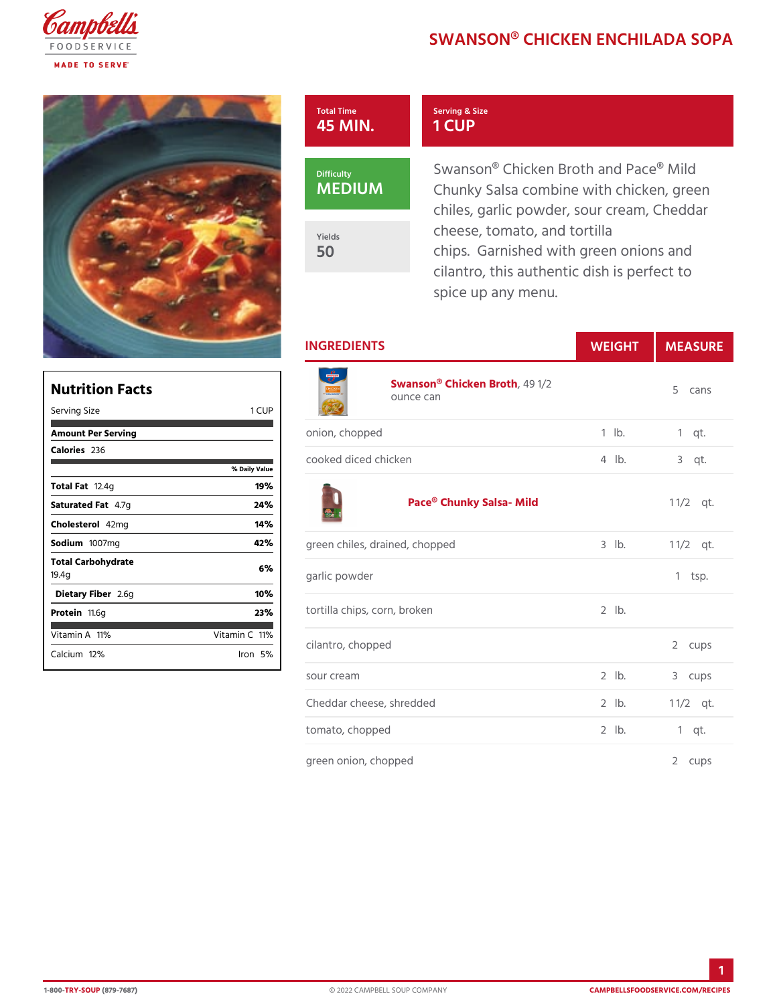## SWANSON® CHICKEN ENCHI

## 45 MIN. Serving & Size 1 CUP

MEDIUM

Total Time

Yields 50

Swanson® Chicken Broth and Pa Chunky Salsa combine with chic chiles, garlic powder, sour crea cheese, tomato, and tortilla chips. Garnished with green or cilantro, this authentic dish is spice up any menu.

INGREDIENTS WEIGH MEASURE

| Nutrition Facts             |                |
|-----------------------------|----------------|
| Serving Size                | 1 CUP          |
| Amount Per Serving          |                |
| Calorie2s36                 |                |
|                             | % Daily Vallue |
| Total Fa2.4g                | 19%            |
| Saturated 4F.aTg            | 24%            |
| Choleste4o2lm g             | 14%            |
| Sodium 007mg                | 42%            |
| Total Carbohydrate<br>19.4g | 6%             |
| Dietary F2ibolegr           | 10%            |
| Proteifi 1.6g               | 23%            |
| Vitamin1A <sup>%</sup>      | Vitamin1CP%    |
| $C$ alciumt $2\%$           | lron5%         |

| $\overline{\phantom{0}}$ | Swanson® Chicke49Btb2h<br>ounce can |             | 5 cans       |
|--------------------------|-------------------------------------|-------------|--------------|
|                          | onion, chopped                      | $1$ $1b$ .  | $1$ qt.      |
| u e                      | cooked diced chicken                | $4$ $ b $ . | $3$ qt.      |
|                          | Pace® Chunky Salsa- Mild            |             | $1 \t1/2qt.$ |
|                          | green chiles, drained, chopped      | $3$ $1b$ .  | $1 \t1/2qt.$ |
|                          | garlic powder                       |             | $1$ tsp.     |
|                          | tortilla chips, corn, broken        | $2$ $1b$ .  |              |
|                          | cilantro, chopped                   |             | 2 cups       |
|                          | sour cream                          | $2$ $1b$ .  | 3 cups       |
|                          | Cheddar cheese, shredded            | $2$ $1b$ .  | $1 \t1/2qt.$ |
|                          | tomato, chopped                     | $2$ $1b$ .  | 1 qt.        |
|                          | green onion, chopped                |             | 2 cups       |